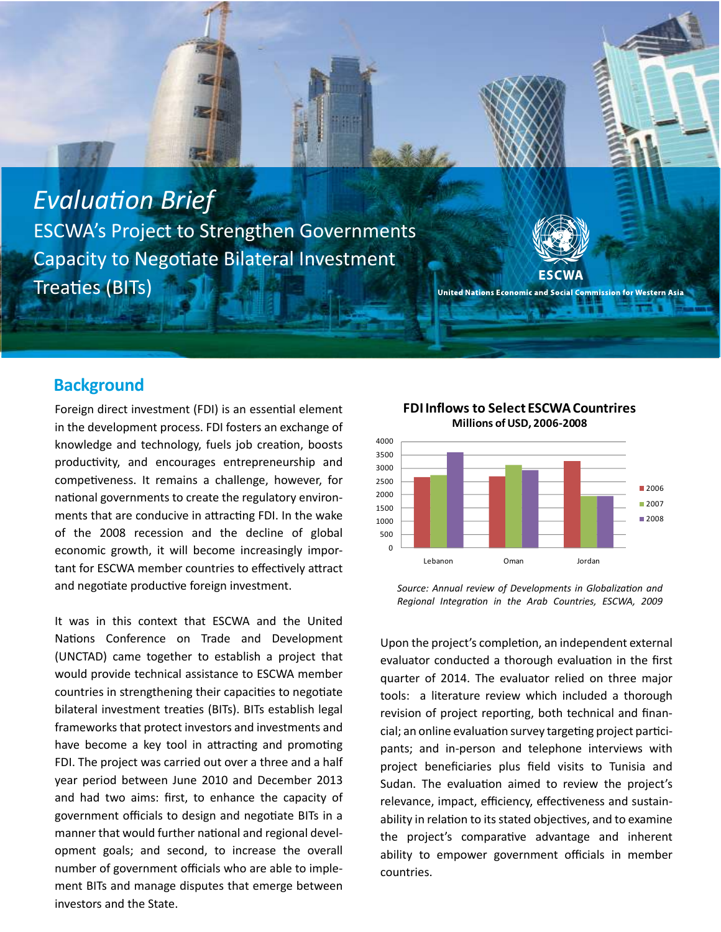



United Nations Economic and Social Commission for Western Asia

## **Background**

Foreign direct investment (FDI) is an essential element in the development process. FDI fosters an exchange of knowledge and technology, fuels job creation, boosts productivity, and encourages entrepreneurship and competiveness. It remains a challenge, however, for national governments to create the regulatory environments that are conducive in attracting FDI. In the wake of the 2008 recession and the decline of global economic growth, it will become increasingly important for ESCWA member countries to effectively attract and negotiate productive foreign investment.

government officials to design and negotiate BITs in a It was in this context that ESCWA and the United Nations Conference on Trade and Development (UNCTAD) came together to establish a project that would provide technical assistance to ESCWA member countries in strengthening their capacities to negotiate bilateral investment treaties (BITs). BITs establish legal frameworks that protect investors and investments and have become a key tool in attracting and promoting FDI. The project was carried out over a three and a half year period between June 2010 and December 2013 and had two aims: first, to enhance the capacity of manner that would further national and regional development goals; and second, to increase the overall number of government officials who are able to implement BITs and manage disputes that emerge between investors and the State.



**FDI Inflows to Select ESCWA Countrires**

Source: Annual review of Developments in Globalization and Regional Integration in the Arab Countries, ESCWA, 2009

Upon the project's completion, an independent external evaluator conducted a thorough evaluation in the first quarter of 2014. The evaluator relied on three major tools: a literature review which included a thorough revision of project reporting, both technical and financial; an online evaluation survey targeting project participants; and in-person and telephone interviews with project beneficiaries plus field visits to Tunisia and Sudan. The evaluation aimed to review the project's relevance, impact, efficiency, effectiveness and sustainability in relation to its stated objectives, and to examine the project's comparative advantage and inherent ability to empower government officials in member countries.